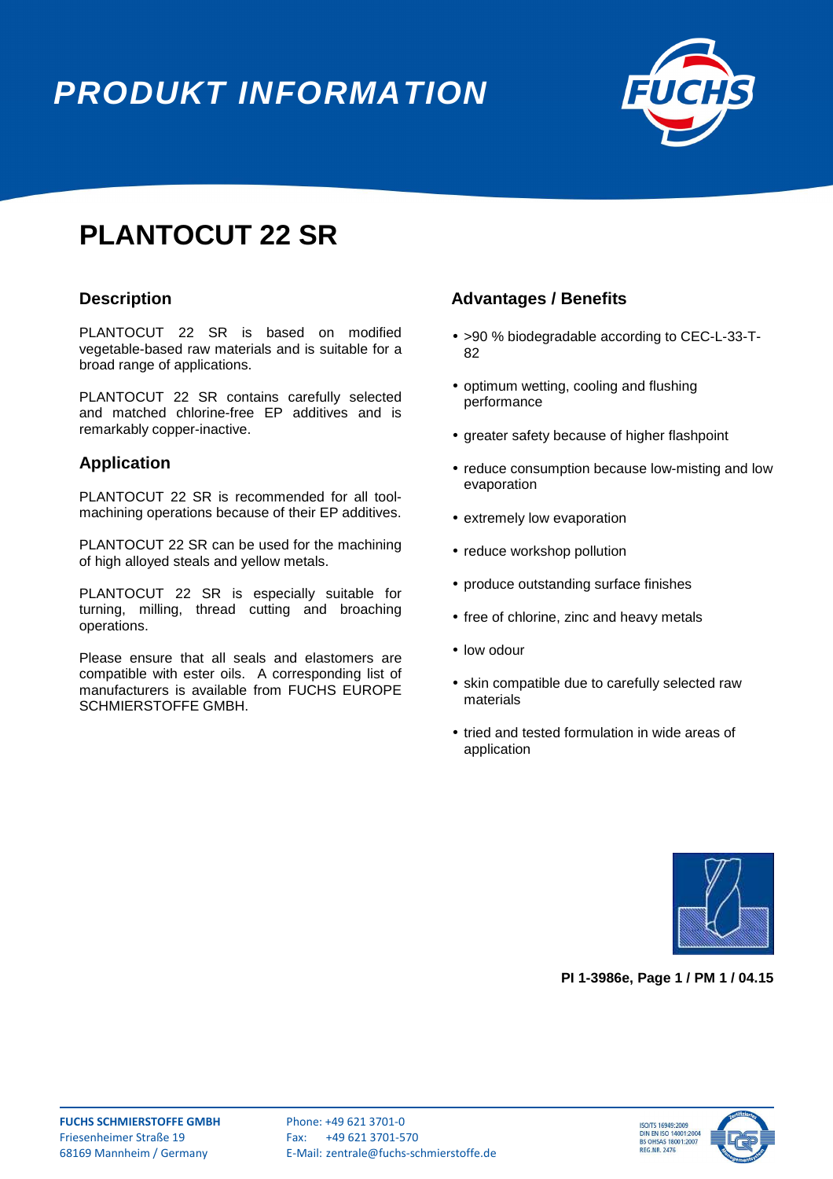# **PRODUKT INFORMATION**



## **PLANTOCUT 22 SR**

#### **Description**

PLANTOCUT 22 SR is based on modified vegetable-based raw materials and is suitable for a broad range of applications.

PLANTOCUT 22 SR contains carefully selected and matched chlorine-free EP additives and is remarkably copper-inactive.

#### **Application**

PLANTOCUT 22 SR is recommended for all toolmachining operations because of their EP additives.

PLANTOCUT 22 SR can be used for the machining of high alloyed steals and yellow metals.

PLANTOCUT 22 SR is especially suitable for turning, milling, thread cutting and broaching operations.

Please ensure that all seals and elastomers are compatible with ester oils. A corresponding list of manufacturers is available from FUCHS EUROPE SCHMIERSTOFFE GMBH.

#### **Advantages / Benefits**

- >90 % biodegradable according to CEC-L-33-T-82
- optimum wetting, cooling and flushing performance
- greater safety because of higher flashpoint
- reduce consumption because low-misting and low evaporation
- extremely low evaporation
- reduce workshop pollution
- produce outstanding surface finishes
- free of chlorine, zinc and heavy metals
- low odour
- skin compatible due to carefully selected raw materials
- tried and tested formulation in wide areas of application



**PI 1-3986e, Page 1 / PM 1 / 04.15** 



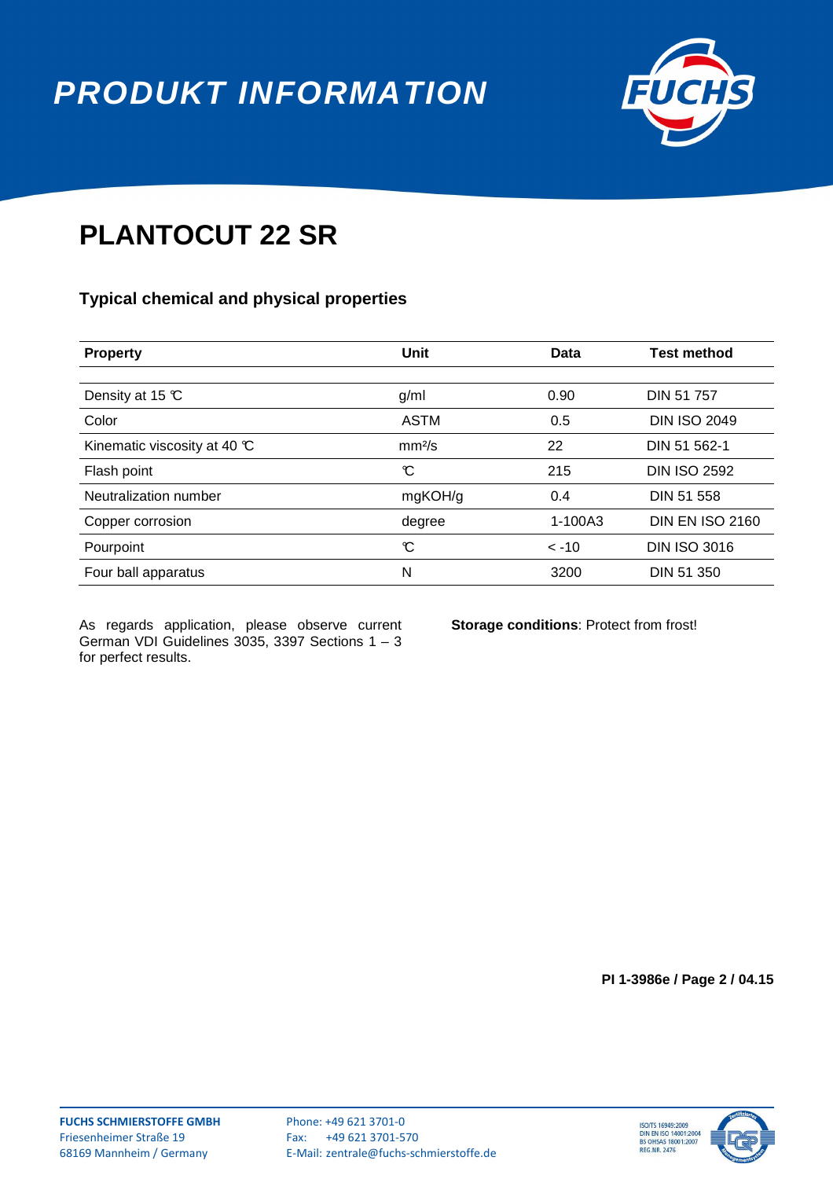**PRODUKT INFORMATION**



### **PLANTOCUT 22 SR**

#### **Typical chemical and physical properties**

| <b>Property</b>                       | Unit               | Data       | <b>Test method</b>     |
|---------------------------------------|--------------------|------------|------------------------|
|                                       |                    |            |                        |
| Density at 15 $\mathbb C$             | g/ml               | 0.90       | <b>DIN 51 757</b>      |
| Color                                 | <b>ASTM</b>        | 0.5        | <b>DIN ISO 2049</b>    |
| Kinematic viscosity at 40 $\mathbb C$ | mm <sup>2</sup> /s | 22         | DIN 51 562-1           |
| Flash point                           | C                  | 215        | <b>DIN ISO 2592</b>    |
| Neutralization number                 | mgKOH/g            | 0.4        | DIN 51 558             |
| Copper corrosion                      | degree             | 1-100A3    | <b>DIN EN ISO 2160</b> |
| Pourpoint                             | C                  | $\leq -10$ | <b>DIN ISO 3016</b>    |
| Four ball apparatus                   | N                  | 3200       | DIN 51 350             |

As regards application, please observe current German VDI Guidelines 3035, 3397 Sections 1 – 3 for perfect results.

**Storage conditions**: Protect from frost!

**PI 1-3986e / Page 2 / 04.15**